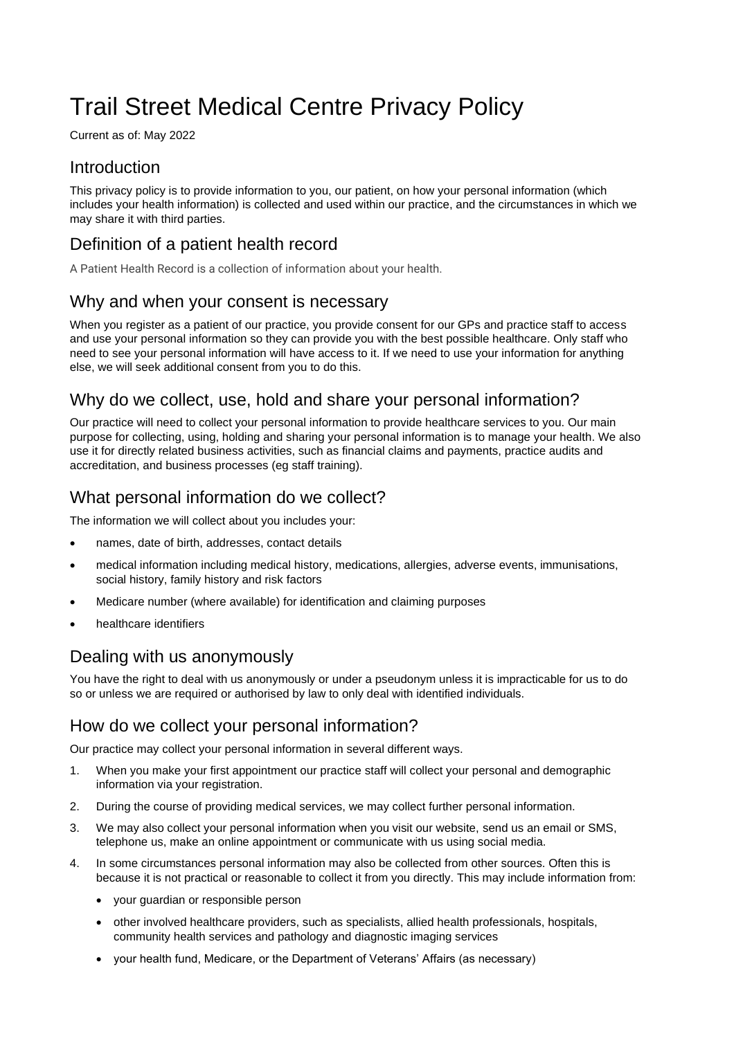# Trail Street Medical Centre Privacy Policy

Current as of: May 2022

# Introduction

This privacy policy is to provide information to you, our patient, on how your personal information (which includes your health information) is collected and used within our practice, and the circumstances in which we may share it with third parties.

# Definition of a patient health record

A Patient Health Record is a collection of information about your health.

## Why and when your consent is necessary

When you register as a patient of our practice, you provide consent for our GPs and practice staff to access and use your personal information so they can provide you with the best possible healthcare. Only staff who need to see your personal information will have access to it. If we need to use your information for anything else, we will seek additional consent from you to do this.

# Why do we collect, use, hold and share your personal information?

Our practice will need to collect your personal information to provide healthcare services to you. Our main purpose for collecting, using, holding and sharing your personal information is to manage your health. We also use it for directly related business activities, such as financial claims and payments, practice audits and accreditation, and business processes (eg staff training).

# What personal information do we collect?

The information we will collect about you includes your:

- names, date of birth, addresses, contact details
- medical information including medical history, medications, allergies, adverse events, immunisations, social history, family history and risk factors
- Medicare number (where available) for identification and claiming purposes
- healthcare identifiers

# Dealing with us anonymously

You have the right to deal with us anonymously or under a pseudonym unless it is impracticable for us to do so or unless we are required or authorised by law to only deal with identified individuals.

# How do we collect your personal information?

Our practice may collect your personal information in several different ways.

- 1. When you make your first appointment our practice staff will collect your personal and demographic information via your registration.
- 2. During the course of providing medical services, we may collect further personal information.
- 3. We may also collect your personal information when you visit our website, send us an email or SMS, telephone us, make an online appointment or communicate with us using social media.
- 4. In some circumstances personal information may also be collected from other sources. Often this is because it is not practical or reasonable to collect it from you directly. This may include information from:
	- your guardian or responsible person
	- other involved healthcare providers, such as specialists, allied health professionals, hospitals, community health services and pathology and diagnostic imaging services
	- your health fund, Medicare, or the Department of Veterans' Affairs (as necessary)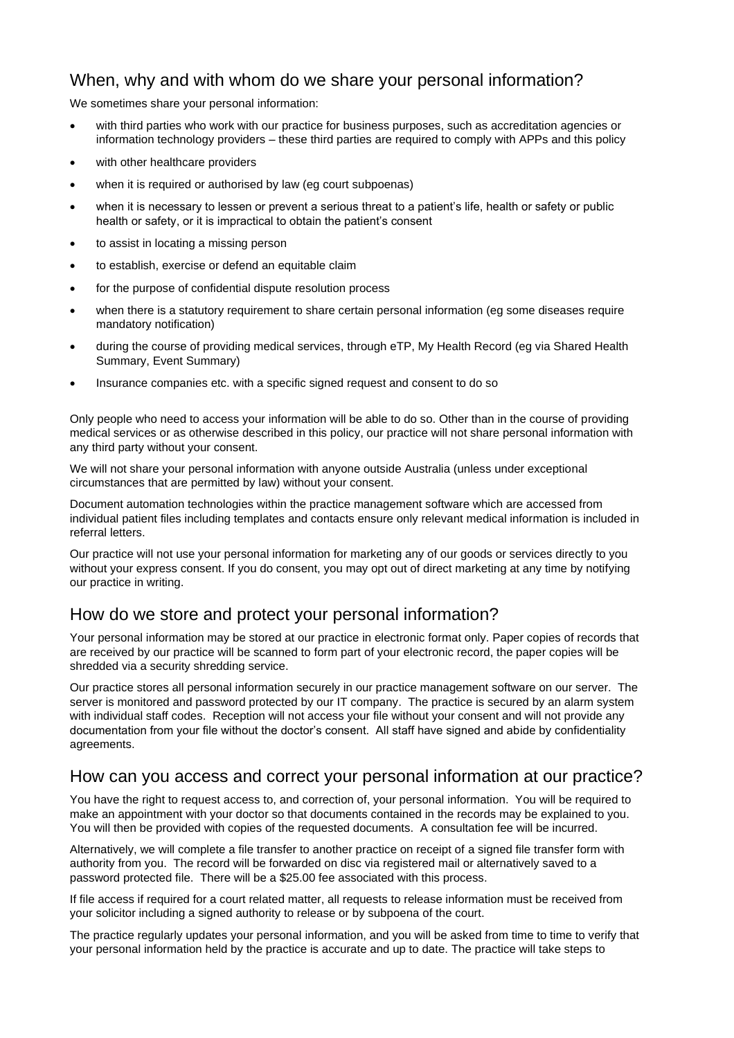### When, why and with whom do we share your personal information?

We sometimes share your personal information:

- with third parties who work with our practice for business purposes, such as accreditation agencies or information technology providers – these third parties are required to comply with APPs and this policy
- with other healthcare providers
- when it is required or authorised by law (eg court subpoenas)
- when it is necessary to lessen or prevent a serious threat to a patient's life, health or safety or public health or safety, or it is impractical to obtain the patient's consent
- to assist in locating a missing person
- to establish, exercise or defend an equitable claim
- for the purpose of confidential dispute resolution process
- when there is a statutory requirement to share certain personal information (eq some diseases require mandatory notification)
- during the course of providing medical services, through eTP, My Health Record (eg via Shared Health Summary, Event Summary)
- Insurance companies etc. with a specific signed request and consent to do so

Only people who need to access your information will be able to do so. Other than in the course of providing medical services or as otherwise described in this policy, our practice will not share personal information with any third party without your consent.

We will not share your personal information with anyone outside Australia (unless under exceptional circumstances that are permitted by law) without your consent.

Document automation technologies within the practice management software which are accessed from individual patient files including templates and contacts ensure only relevant medical information is included in referral letters.

Our practice will not use your personal information for marketing any of our goods or services directly to you without your express consent. If you do consent, you may opt out of direct marketing at any time by notifying our practice in writing.

# How do we store and protect your personal information?

Your personal information may be stored at our practice in electronic format only. Paper copies of records that are received by our practice will be scanned to form part of your electronic record, the paper copies will be shredded via a security shredding service.

Our practice stores all personal information securely in our practice management software on our server. The server is monitored and password protected by our IT company. The practice is secured by an alarm system with individual staff codes. Reception will not access your file without your consent and will not provide any documentation from your file without the doctor's consent. All staff have signed and abide by confidentiality agreements.

#### How can you access and correct your personal information at our practice?

You have the right to request access to, and correction of, your personal information. You will be required to make an appointment with your doctor so that documents contained in the records may be explained to you. You will then be provided with copies of the requested documents. A consultation fee will be incurred.

Alternatively, we will complete a file transfer to another practice on receipt of a signed file transfer form with authority from you. The record will be forwarded on disc via registered mail or alternatively saved to a password protected file. There will be a \$25.00 fee associated with this process.

If file access if required for a court related matter, all requests to release information must be received from your solicitor including a signed authority to release or by subpoena of the court.

The practice regularly updates your personal information, and you will be asked from time to time to verify that your personal information held by the practice is accurate and up to date. The practice will take steps to